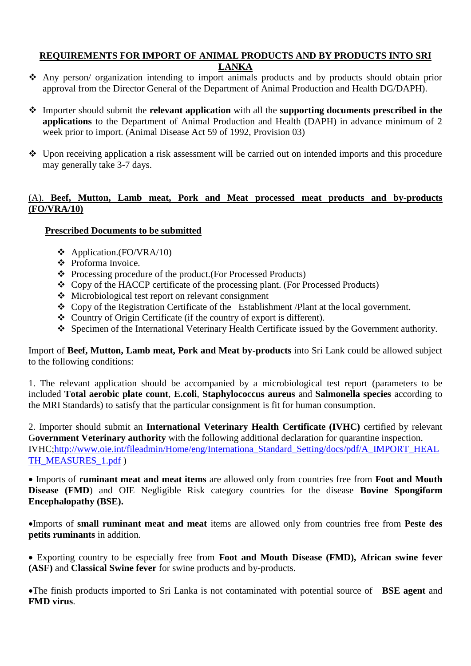## **REQUIREMENTS FOR IMPORT OF ANIMAL PRODUCTS AND BY PRODUCTS INTO SRI LANKA**

- Any person/ organization intending to import animals products and by products should obtain prior approval from the Director General of the Department of Animal Production and Health DG/DAPH).
- Importer should submit the **relevant application** with all the **supporting documents prescribed in the applications** to the Department of Animal Production and Health (DAPH) in advance minimum of 2 week prior to import. (Animal Disease Act 59 of 1992, Provision 03)
- Upon receiving application a risk assessment will be carried out on intended imports and this procedure may generally take 3-7 days.

# (A). **Beef, Mutton, Lamb meat, Pork and Meat processed meat products and by-products (FO/VRA/10)**

## **Prescribed Documents to be submitted**

- $\triangleleft$  Application.(FO/VRA/10)
- ❖ Proforma Invoice.
- Processing procedure of the product.(For Processed Products)
- Copy of the HACCP certificate of the processing plant. (For Processed Products)
- Microbiological test report on relevant consignment
- \* Copy of the Registration Certificate of the Establishment /Plant at the local government.
- Country of Origin Certificate (if the country of export is different).
- Specimen of the International Veterinary Health Certificate issued by the Government authority.

Import of **Beef, Mutton, Lamb meat, Pork and Meat by-products** into Sri Lank could be allowed subject to the following conditions:

1. The relevant application should be accompanied by a microbiological test report (parameters to be included **Total aerobic plate count**, **E.coli**, **Staphylococcus aureus** and **Salmonella species** according to the MRI Standards) to satisfy that the particular consignment is fit for human consumption.

2. Importer should submit an **International Veterinary Health Certificate (IVHC)** certified by relevant G**overnment Veterinary authority** with the following additional declaration for quarantine inspection. IVHC[;http://www.oie.int/fileadmin/Home/eng/Internationa\\_Standard\\_Setting/docs/pdf/A\\_IMPORT\\_HEAL](http://www.oie.int/fileadmin/Home/eng/Internationa_Standard_Setting/docs/pdf/A_IMPORT_HEALTH_MEASURES_1.pdf) [TH\\_MEASURES\\_1.pdf](http://www.oie.int/fileadmin/Home/eng/Internationa_Standard_Setting/docs/pdf/A_IMPORT_HEALTH_MEASURES_1.pdf) )

 Imports of **ruminant meat and meat items** are allowed only from countries free from **Foot and Mouth Disease (FMD**) and OIE Negligible Risk category countries for the disease **Bovine Spongiform Encephalopathy (BSE).**

Imports of **small ruminant meat and meat** items are allowed only from countries free from **Peste des petits ruminants** in addition.

 Exporting country to be especially free from **Foot and Mouth Disease (FMD), African swine fever (ASF)** and **Classical Swine fever** for swine products and by-products.

The finish products imported to Sri Lanka is not contaminated with potential source of **BSE agent** and **FMD virus**.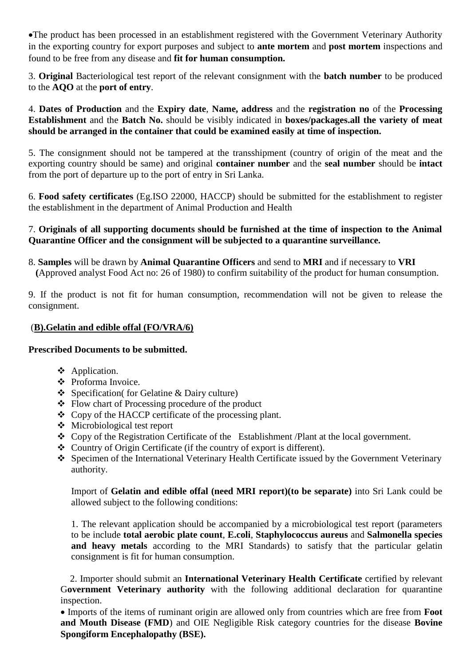The product has been processed in an establishment registered with the Government Veterinary Authority in the exporting country for export purposes and subject to **ante mortem** and **post mortem** inspections and found to be free from any disease and **fit for human consumption.**

3. **Original** Bacteriological test report of the relevant consignment with the **batch number** to be produced to the **AQO** at the **port of entry**.

4. **Dates of Production** and the **Expiry date**, **Name, address** and the **registration no** of the **Processing Establishment** and the **Batch No.** should be visibly indicated in **boxes/packages.all the variety of meat should be arranged in the container that could be examined easily at time of inspection.**

5. The consignment should not be tampered at the transshipment (country of origin of the meat and the exporting country should be same) and original **container number** and the **seal number** should be **intact** from the port of departure up to the port of entry in Sri Lanka.

6. **Food safety certificates** (Eg.ISO 22000, HACCP) should be submitted for the establishment to register the establishment in the department of Animal Production and Health

### 7. **Originals of all supporting documents should be furnished at the time of inspection to the Animal Quarantine Officer and the consignment will be subjected to a quarantine surveillance.**

8. **Samples** will be drawn by **Animal Quarantine Officers** and send to **MRI** and if necessary to **VRI (**Approved analyst Food Act no: 26 of 1980) to confirm suitability of the product for human consumption.

9. If the product is not fit for human consumption, recommendation will not be given to release the consignment.

## (**B).Gelatin and edible offal (FO/VRA/6)**

## **Prescribed Documents to be submitted.**

- Application.
- Proforma Invoice.
- Specification( for Gelatine & Dairy culture)
- Flow chart of Processing procedure of the product
- Copy of the HACCP certificate of the processing plant.
- Microbiological test report
- Copy of the Registration Certificate of the Establishment /Plant at the local government.
- Country of Origin Certificate (if the country of export is different).
- Specimen of the International Veterinary Health Certificate issued by the Government Veterinary authority.

Import of **Gelatin and edible offal (need MRI report)(to be separate)** into Sri Lank could be allowed subject to the following conditions:

1. The relevant application should be accompanied by a microbiological test report (parameters to be include **total aerobic plate count**, **E.coli**, **Staphylococcus aureus** and **Salmonella species and heavy metals** according to the MRI Standards) to satisfy that the particular gelatin consignment is fit for human consumption.

 2. Importer should submit an **International Veterinary Health Certificate** certified by relevant G**overnment Veterinary authority** with the following additional declaration for quarantine inspection.

 Imports of the items of ruminant origin are allowed only from countries which are free from **Foot and Mouth Disease (FMD**) and OIE Negligible Risk category countries for the disease **Bovine Spongiform Encephalopathy (BSE).**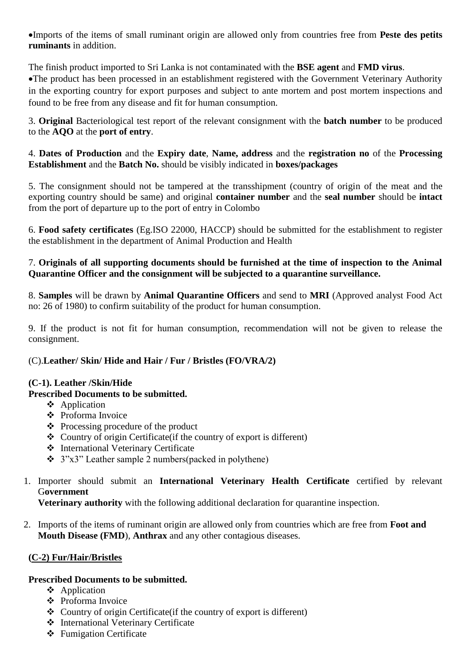Imports of the items of small ruminant origin are allowed only from countries free from **Peste des petits ruminants** in addition.

The finish product imported to Sri Lanka is not contaminated with the **BSE agent** and **FMD virus**. The product has been processed in an establishment registered with the Government Veterinary Authority in the exporting country for export purposes and subject to ante mortem and post mortem inspections and found to be free from any disease and fit for human consumption.

3. **Original** Bacteriological test report of the relevant consignment with the **batch number** to be produced to the **AQO** at the **port of entry**.

4. **Dates of Production** and the **Expiry date**, **Name, address** and the **registration no** of the **Processing Establishment** and the **Batch No.** should be visibly indicated in **boxes/packages**

5. The consignment should not be tampered at the transshipment (country of origin of the meat and the exporting country should be same) and original **container number** and the **seal number** should be **intact** from the port of departure up to the port of entry in Colombo

6. **Food safety certificates** (Eg.ISO 22000, HACCP) should be submitted for the establishment to register the establishment in the department of Animal Production and Health

# 7. **Originals of all supporting documents should be furnished at the time of inspection to the Animal Quarantine Officer and the consignment will be subjected to a quarantine surveillance.**

8. **Samples** will be drawn by **Animal Quarantine Officers** and send to **MRI** (Approved analyst Food Act no: 26 of 1980) to confirm suitability of the product for human consumption.

9. If the product is not fit for human consumption, recommendation will not be given to release the consignment.

## (C).**Leather/ Skin/ Hide and Hair / Fur / Bristles (FO/VRA/2)**

## **(C-1). Leather /Skin/Hide**

## **Prescribed Documents to be submitted.**

- ❖ Application
- Proforma Invoice
- $\triangle$  Processing procedure of the product
- $\triangleleft$  Country of origin Certificate (if the country of export is different)
- International Veterinary Certificate
- $\div$  3"x3" Leather sample 2 numbers(packed in polythene)
- 1. Importer should submit an **International Veterinary Health Certificate** certified by relevant G**overnment**

**Veterinary authority** with the following additional declaration for quarantine inspection.

2. Imports of the items of ruminant origin are allowed only from countries which are free from **Foot and Mouth Disease (FMD**), **Anthrax** and any other contagious diseases.

## **(C-2) Fur/Hair/Bristles**

## **Prescribed Documents to be submitted.**

- ❖ Application
- Proforma Invoice
- $\triangle$  Country of origin Certificate (if the country of export is different)
- International Veterinary Certificate
- Fumigation Certificate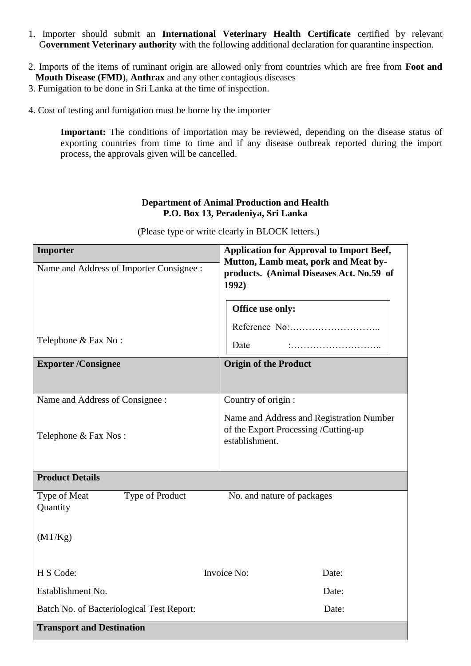- 1. Importer should submit an **International Veterinary Health Certificate** certified by relevant G**overnment Veterinary authority** with the following additional declaration for quarantine inspection.
- 2. Imports of the items of ruminant origin are allowed only from countries which are free from **Foot and Mouth Disease (FMD**), **Anthrax** and any other contagious diseases
- 3. Fumigation to be done in Sri Lanka at the time of inspection.
- 4. Cost of testing and fumigation must be borne by the importer

**Important:** The conditions of importation may be reviewed, depending on the disease status of exporting countries from time to time and if any disease outbreak reported during the import process, the approvals given will be cancelled.

### **Department of Animal Production and Health P.O. Box 13, Peradeniya, Sri Lanka**

**Importer Application for Approval to Import Beef, Mutton, Lamb meat, pork and Meat byproducts. (Animal Diseases Act. No.59 of 1992)**  Name and Address of Importer Consignee : Telephone & Fax No : **Exporter /Consignee Constant Constant Constant Constant Constant Constant Constant Constant Constant Constant Constant Constant Constant Constant Constant Constant Constant Constant Constant Constant Constant Constant Con** Name and Address of Consignee : Telephone & Fax Nos : Country of origin : Name and Address and Registration Number of the Export Processing /Cutting-up establishment. **Product Details**  Type of Meat Type of Product No. and nature of packages **Ouantity** (MT/Kg) H S Code: Invoice No: Date: Establishment No. Date: Batch No. of Bacteriological Test Report: Date: Date: **Transport and Destination Office use only:** Reference No:……………………….. Date :………………………..

(Please type or write clearly in BLOCK letters.)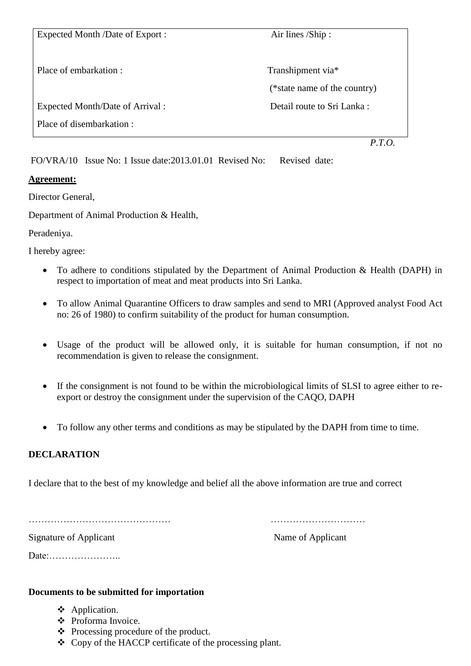Expected Month /Date of Export : Air lines /Ship : Place of embarkation : Transhipment via\* (\*state name of the country) Expected Month/Date of Arrival : Detail route to Sri Lanka : Place of disembarkation : *P.T.O.*

FO/VRA/10 Issue No: 1 Issue date:2013.01.01 Revised No: Revised date:

# **Agreement:**

Director General,

Department of Animal Production & Health,

Peradeniya.

I hereby agree:

- To adhere to conditions stipulated by the Department of Animal Production & Health (DAPH) in respect to importation of meat and meat products into Sri Lanka.
- To allow Animal Quarantine Officers to draw samples and send to MRI (Approved analyst Food Act no: 26 of 1980) to confirm suitability of the product for human consumption.
- Usage of the product will be allowed only, it is suitable for human consumption, if not no recommendation is given to release the consignment.
- If the consignment is not found to be within the microbiological limits of SLSI to agree either to reexport or destroy the consignment under the supervision of the CAQO, DAPH
- To follow any other terms and conditions as may be stipulated by the DAPH from time to time.

# **DECLARATION**

I declare that to the best of my knowledge and belief all the above information are true and correct

……………………………………… …………………………

Signature of Applicant Name of Applicant

Date:…………………..

## **Documents to be submitted for importation**

- Application.
- Proforma Invoice.
- $\triangle$  Processing procedure of the product.
- Copy of the HACCP certificate of the processing plant.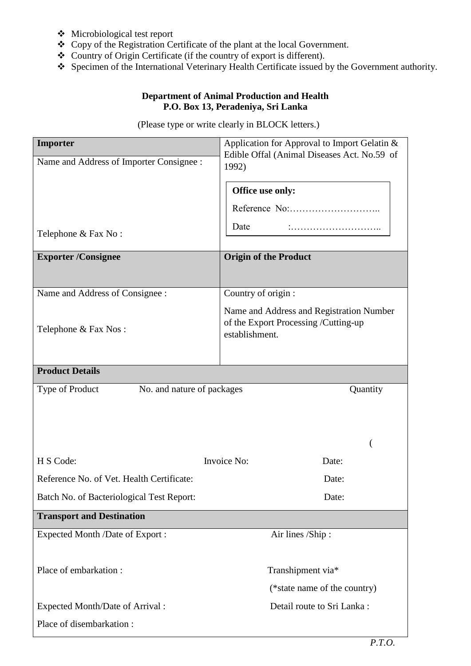- Microbiological test report
- Copy of the Registration Certificate of the plant at the local Government.
- Country of Origin Certificate (if the country of export is different).
- Specimen of the International Veterinary Health Certificate issued by the Government authority.

## **Department of Animal Production and Health P.O. Box 13, Peradeniya, Sri Lanka**

(Please type or write clearly in BLOCK letters.)

| Importer                                      | Application for Approval to Import Gelatin &                                                       |
|-----------------------------------------------|----------------------------------------------------------------------------------------------------|
| Name and Address of Importer Consignee :      | Edible Offal (Animal Diseases Act. No.59 of<br>1992)                                               |
|                                               |                                                                                                    |
|                                               | Office use only:                                                                                   |
|                                               |                                                                                                    |
| Telephone & Fax No:                           | Date                                                                                               |
| <b>Exporter/Consignee</b>                     | <b>Origin of the Product</b>                                                                       |
|                                               |                                                                                                    |
| Name and Address of Consignee :               | Country of origin :                                                                                |
| Telephone & Fax Nos:                          | Name and Address and Registration Number<br>of the Export Processing /Cutting-up<br>establishment. |
|                                               |                                                                                                    |
| <b>Product Details</b>                        |                                                                                                    |
| Type of Product<br>No. and nature of packages | Quantity                                                                                           |
|                                               |                                                                                                    |
|                                               |                                                                                                    |
|                                               |                                                                                                    |
| H S Code:                                     | Invoice No:<br>Date:                                                                               |
| Reference No. of Vet. Health Certificate:     | Date:                                                                                              |
| Batch No. of Bacteriological Test Report:     | Date:                                                                                              |
| <b>Transport and Destination</b>              |                                                                                                    |
| <b>Expected Month /Date of Export :</b>       | Air lines /Ship:                                                                                   |
|                                               |                                                                                                    |
| Place of embarkation :                        | Transhipment via*                                                                                  |
|                                               |                                                                                                    |
|                                               | (*state name of the country)                                                                       |
| Expected Month/Date of Arrival :              | Detail route to Sri Lanka:                                                                         |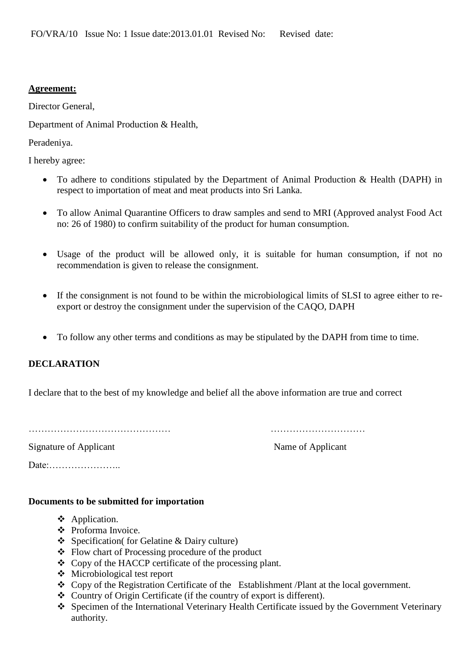### **Agreement:**

Director General,

Department of Animal Production & Health,

Peradeniya.

I hereby agree:

- To adhere to conditions stipulated by the Department of Animal Production & Health (DAPH) in respect to importation of meat and meat products into Sri Lanka.
- To allow Animal Quarantine Officers to draw samples and send to MRI (Approved analyst Food Act no: 26 of 1980) to confirm suitability of the product for human consumption.
- Usage of the product will be allowed only, it is suitable for human consumption, if not no recommendation is given to release the consignment.
- If the consignment is not found to be within the microbiological limits of SLSI to agree either to reexport or destroy the consignment under the supervision of the CAQO, DAPH
- To follow any other terms and conditions as may be stipulated by the DAPH from time to time.

## **DECLARATION**

I declare that to the best of my knowledge and belief all the above information are true and correct

……………………………………… …………………………

Signature of Applicant Name of Applicant Name of Applicant

Date:…………………..

#### **Documents to be submitted for importation**

- ❖ Application.
- ❖ Proforma Invoice.
- Specification( for Gelatine & Dairy culture)
- Flow chart of Processing procedure of the product
- Copy of the HACCP certificate of the processing plant.
- Microbiological test report
- \* Copy of the Registration Certificate of the Establishment /Plant at the local government.
- Country of Origin Certificate (if the country of export is different).
- Specimen of the International Veterinary Health Certificate issued by the Government Veterinary authority.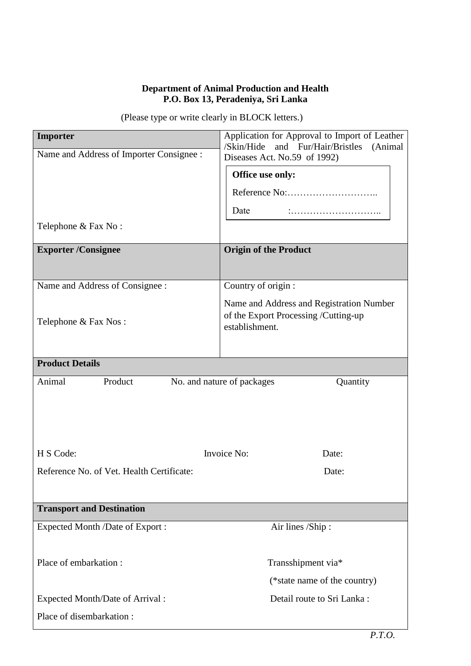### **Department of Animal Production and Health P.O. Box 13, Peradeniya, Sri Lanka**

|  | (Please type or write clearly in BLOCK letters.) |
|--|--------------------------------------------------|
|--|--------------------------------------------------|

| Importer                                  | Application for Approval to Import of Leather<br>and Fur/Hair/Bristles<br>/Skin/Hide               |
|-------------------------------------------|----------------------------------------------------------------------------------------------------|
| Name and Address of Importer Consignee :  | (Animal<br>Diseases Act. No.59 of 1992)                                                            |
|                                           | Office use only:                                                                                   |
|                                           |                                                                                                    |
|                                           | Date                                                                                               |
| Telephone & Fax No:                       |                                                                                                    |
| <b>Exporter/Consignee</b>                 | <b>Origin of the Product</b>                                                                       |
|                                           |                                                                                                    |
| Name and Address of Consignee :           | Country of origin :                                                                                |
| Telephone & Fax Nos:                      | Name and Address and Registration Number<br>of the Export Processing /Cutting-up<br>establishment. |
|                                           |                                                                                                    |
| <b>Product Details</b>                    |                                                                                                    |
| Animal<br>Product                         | No. and nature of packages<br>Quantity                                                             |
|                                           |                                                                                                    |
|                                           |                                                                                                    |
|                                           |                                                                                                    |
| H S Code:                                 | Invoice No:<br>Date:                                                                               |
| Reference No. of Vet. Health Certificate: | Date:                                                                                              |
|                                           |                                                                                                    |
| <b>Transport and Destination</b>          |                                                                                                    |
| Expected Month /Date of Export :          | Air lines /Ship:                                                                                   |
|                                           |                                                                                                    |
| Place of embarkation:                     | Transshipment via*                                                                                 |
|                                           | (*state name of the country)                                                                       |
| Expected Month/Date of Arrival:           | Detail route to Sri Lanka:                                                                         |
| Place of disembarkation:                  |                                                                                                    |